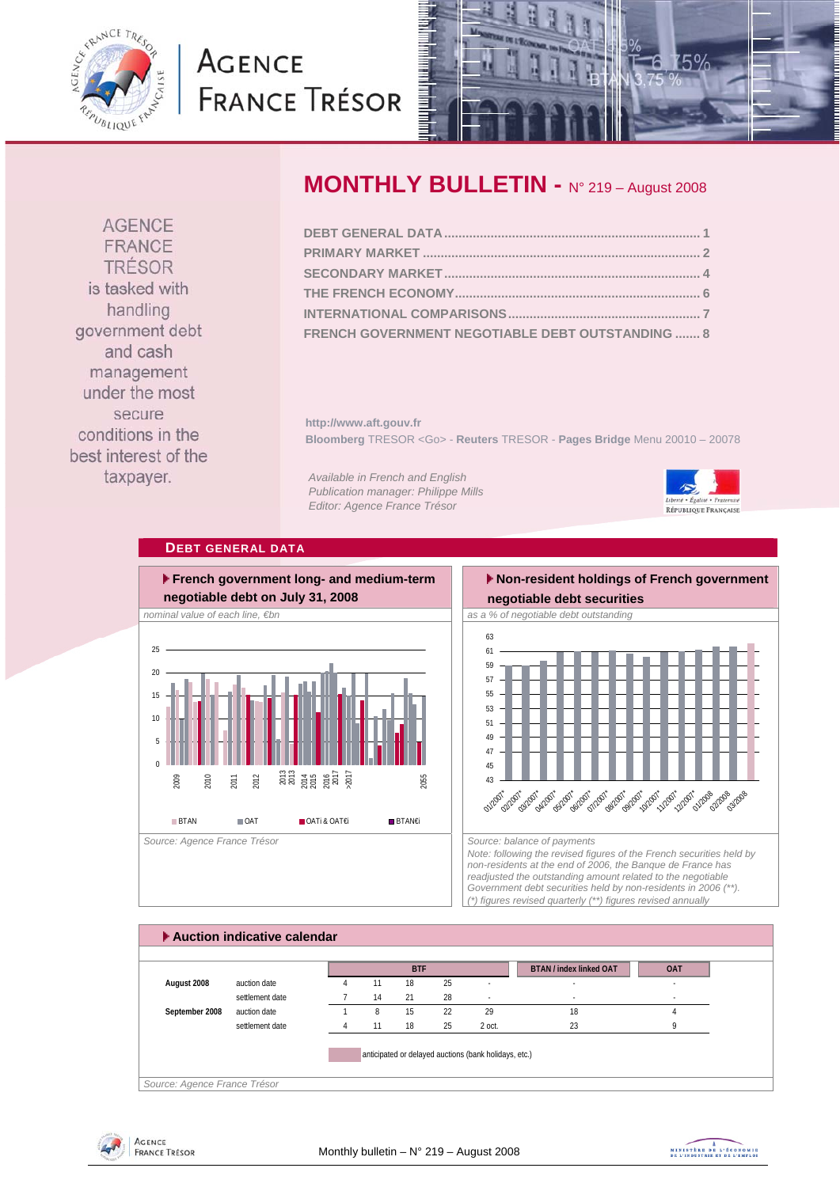<span id="page-0-0"></span>

## **AGENCE FRANCE TRÉSOR**



**AGENCE** FRANCE TRÉSOR is tasked with handling government debt and cash management under the most secure conditions in the best interest of the taxpayer.

### **MONTHLY BULLETIN -** N° 219 – August 2008

| FRENCH GOVERNMENT NEGOTIABLE DEBT OUTSTANDING  8 |  |
|--------------------------------------------------|--|

**http://www.aft.gouv.fr Bloomberg** TRESOR <Go> - **Reuters** TRESOR - **Pages Bridge** Menu 20010 – 20078

*Available in French and English Publication manager: Philippe Mills Editor: Agence France Trésor* 



#### **DEBT GENERAL DATA**



## **Non-resident holdings of French government**



*Note: following the revised figures of the French securities held by non-residents at the end of 2006, the Banque de France has readjusted the outstanding amount related to the negotiable Government debt securities held by non-residents in 2006 (\*\*). (\*) figures revised quarterly (\*\*) figures revised annually* 



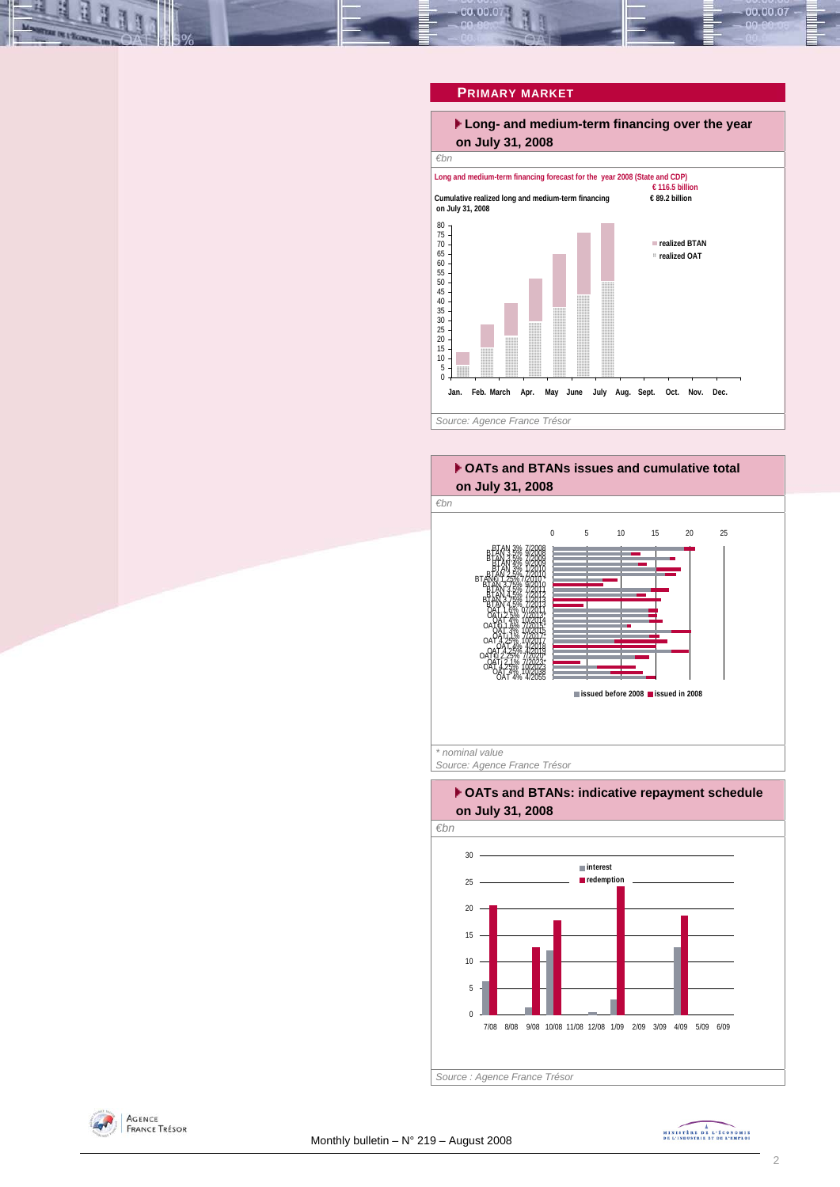# <span id="page-1-0"></span>00.00.0

#### **PRIMARY MARKET**



00.00.07

#### **OATs and BTANs issues and cumulative total on July 31, 2008**



*Source: Agence France Trésor* 

#### **OATs and BTANs: indicative repayment schedule on July 31, 2008**





MINISTRE DE L'ÉCONOMIE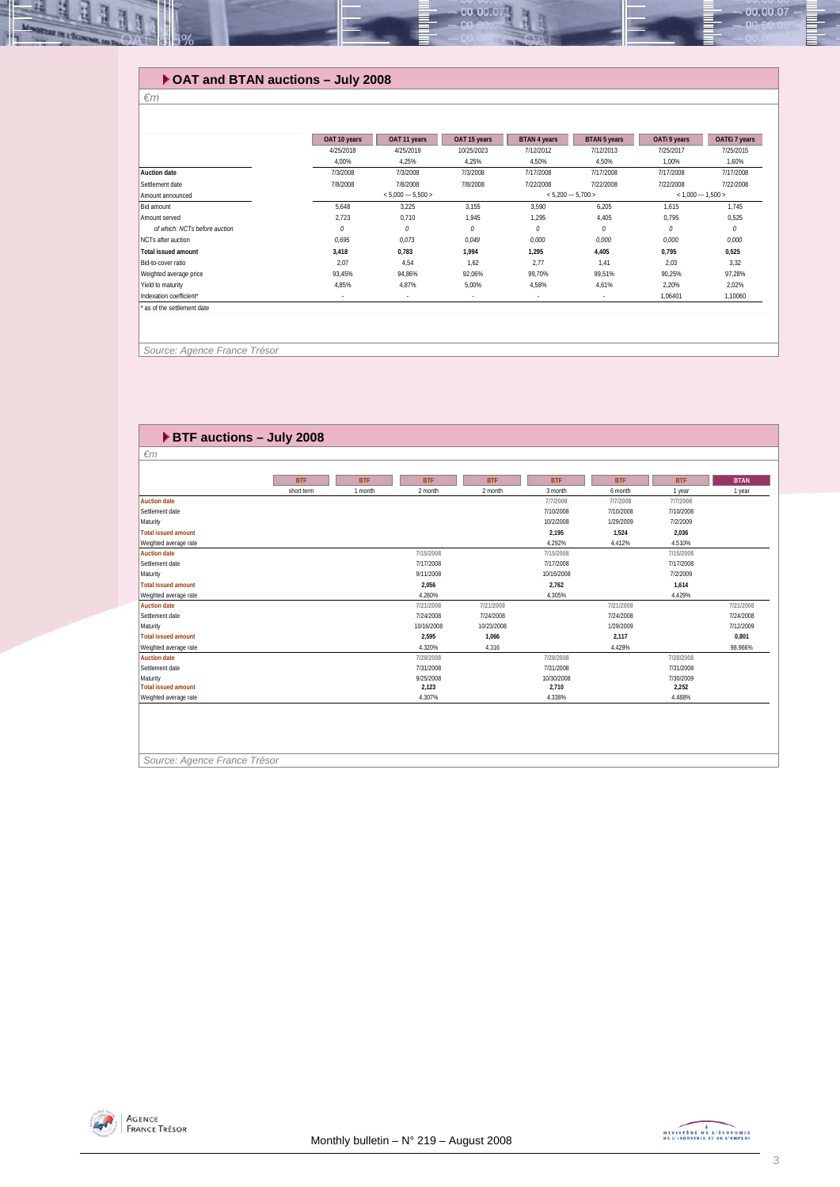#### **OAT and BTAN auctions – July 2008**

#### *€m*

**REAL PROPERTY** 

|                               | OAT 10 years | OAT 11 years        | OAT 15 years | <b>BTAN 4 years</b> | <b>BTAN 5 years</b> | OATi 9 years            | OAT€i 7 years |
|-------------------------------|--------------|---------------------|--------------|---------------------|---------------------|-------------------------|---------------|
|                               | 4/25/2018    | 4/25/2019           | 10/25/2023   | 7/12/2012           | 7/12/2013           | 7/25/2017               | 7/25/2015     |
|                               | 4,00%        | 4,25%               | 4,25%        | 4,50%               | 4,50%               | 1,00%                   | 1,60%         |
| Auction date                  | 7/3/2008     | 7/3/2008            | 7/3/2008     | 7/17/2008           | 7/17/2008           | 7/17/2008               | 7/17/2008     |
| Settlement date               | 7/8/2008     | 7/8/2008            | 7/8/2008     | 7/22/2008           | 7/22/2008           | 7/22/2008               | 7/22/2008     |
| Amount announced              |              | $< 5.000 - 5.500 >$ |              |                     | $< 5,200 - 5,700 >$ | $<$ 1,000 $-$ 1,500 $>$ |               |
| Bid amount                    | 5,648        | 3,225               | 3,155        | 3,590               | 6,205               | 1,615                   | 1,745         |
| Amount served                 | 2,723        | 0,710               | 1,945        | 1,295               | 4,405               | 0,795                   | 0,525         |
| of which: NCTs before auction | 0            | 0                   | 0            | 0                   | 0                   | 0                       | 0             |
| NCTs after auction            | 0,695        | 0,073               | 0,049        | 0,000               | 0,000               | 0,000                   | 0,000         |
| <b>Total issued amount</b>    | 3.418        | 0,783               | 1.994        | 1,295               | 4,405               | 0.795                   | 0,525         |
| Bid-to-cover ratio            | 2.07         | 4,54                | 1.62         | 2.77                | 1.41                | 2.03                    | 3,32          |
| Weighted average price        | 93,45%       | 94,86%              | 92,06%       | 99,70%              | 99,51%              | 90,25%                  | 97,28%        |
| Yield to maturity             | 4,85%        | 4,87%               | 5,00%        | 4,58%               | 4,61%               | 2,20%                   | 2,02%         |
| Indexation coefficient*       | $\sim$       | $\sim$              | $\sim$       | $\sim$              |                     | 1,06401                 | 1,10060       |
| as of the settlement date     |              |                     |              |                     |                     |                         |               |
|                               |              |                     |              |                     |                     |                         |               |
|                               |              |                     |              |                     |                     |                         |               |
|                               |              |                     |              |                     |                     |                         |               |
| Source: Agence France Trésor  |              |                     |              |                     |                     |                         |               |

 $00.00.0$ 

| $\blacktriangleright$ BTF auctions - July 2008 |            |            |            |            |            |            |            |             |
|------------------------------------------------|------------|------------|------------|------------|------------|------------|------------|-------------|
| $\epsilon$ m                                   |            |            |            |            |            |            |            |             |
|                                                |            |            |            |            |            |            |            |             |
|                                                | <b>BTF</b> | <b>BTF</b> | <b>BTF</b> | <b>BTF</b> | <b>BTF</b> | <b>BTF</b> | <b>BTF</b> | <b>BTAN</b> |
|                                                | short term | 1 month    | 2 month    | 2 month    | 3 month    | 6 month    | 1 year     | 1 year      |
| <b>Auction date</b>                            |            |            |            |            | 7/7/2008   | 7/7/2008   | 7/7/2008   |             |
| Settlement date                                |            |            |            |            | 7/10/2008  | 7/10/2008  | 7/10/2008  |             |
| Maturity                                       |            |            |            |            | 10/2/2008  | 1/29/2009  | 7/2/2009   |             |
| <b>Total issued amount</b>                     |            |            |            |            | 2,195      | 1,524      | 2,036      |             |
| Weighted average rate                          |            |            |            |            | 4.292%     | 4.412%     | 4.510%     |             |
| <b>Auction date</b>                            |            |            | 7/15/2008  |            | 7/15/2008  |            | 7/15/2008  |             |
| Settlement date                                |            |            | 7/17/2008  |            | 7/17/2008  |            | 7/17/2008  |             |
| Maturity                                       |            |            | 9/11/2008  |            | 10/16/2008 |            | 7/2/2009   |             |
| <b>Total issued amount</b>                     |            |            | 2,056      |            | 2,762      |            | 1,614      |             |
| Weighted average rate                          |            |            | 4.280%     |            | 4.305%     |            | 4.429%     |             |
| <b>Auction date</b>                            |            |            | 7/21/2008  | 7/21/2008  |            | 7/21/2008  |            | 7/21/2008   |
| Settlement date                                |            |            | 7/24/2008  | 7/24/2008  |            | 7/24/2008  |            | 7/24/2008   |
| Maturity                                       |            |            | 10/16/2008 | 10/23/2008 |            | 1/29/2009  |            | 7/12/2009   |
| <b>Total issued amount</b>                     |            |            | 2,595      | 1,066      |            | 2,117      |            | 0,801       |
| Weighted average rate                          |            |            | 4.320%     | 4.316      |            | 4.429%     |            | 98.966%     |
| <b>Auction date</b>                            |            |            | 7/28/2008  |            | 7/28/2008  |            | 7/28/2008  |             |
| Settlement date                                |            |            | 7/31/2008  |            | 7/31/2008  |            | 7/31/2008  |             |
| Maturity                                       |            |            | 9/25/2008  |            | 10/30/2008 |            | 7/30/2009  |             |
| <b>Total issued amount</b>                     |            |            | 2,123      |            | 2,710      |            | 2,252      |             |
| Weighted average rate                          |            |            | 4.307%     |            | 4.338%     |            | 4.488%     |             |

*Source: Agence France Trésor* 



 $-00.00.07$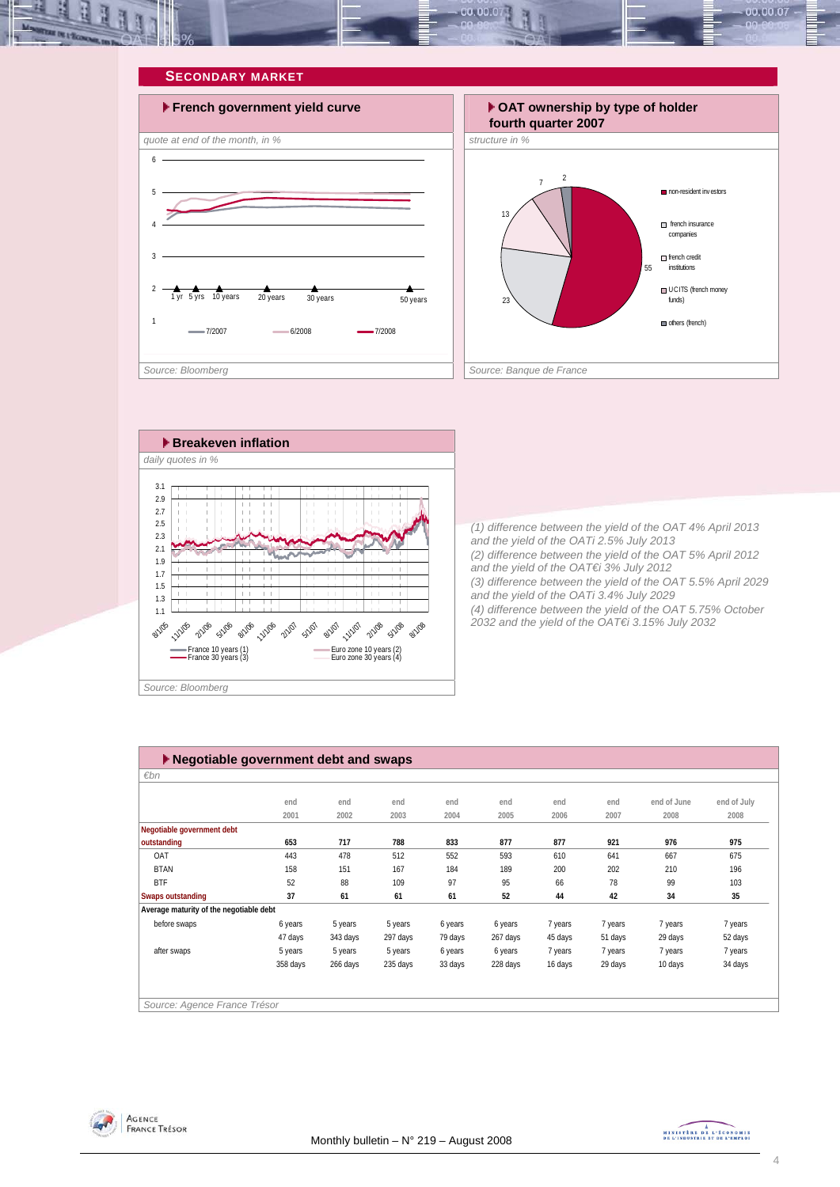<span id="page-3-0"></span>







*(1) difference between the yield of the OAT 4% April 2013 and the yield of the OATi 2.5% July 2013 (2) difference between the yield of the OAT 5% April 2012 and the yield of the OAT€i 3% July 2012 (3) difference between the yield of the OAT 5.5% April 2029 and the yield of the OATi 3.4% July 2029 (4) difference between the yield of the OAT 5.75% October 2032 and the yield of the OAT€i 3.15% July 2032* 

| ▶ Negotiable government debt and swaps  |          |          |          |         |          |         |         |             |             |
|-----------------------------------------|----------|----------|----------|---------|----------|---------|---------|-------------|-------------|
| $\varepsilon$ bn                        |          |          |          |         |          |         |         |             |             |
|                                         |          |          |          |         |          |         |         |             |             |
|                                         | end      | end      | end      | end     | end      | end     | end     | end of June | end of July |
|                                         | 2001     | 2002     | 2003     | 2004    | 2005     | 2006    | 2007    | 2008        | 2008        |
| Negotiable government debt              |          |          |          |         |          |         |         |             |             |
| outstanding                             | 653      | 717      | 788      | 833     | 877      | 877     | 921     | 976         | 975         |
| OAT                                     | 443      | 478      | 512      | 552     | 593      | 610     | 641     | 667         | 675         |
| <b>BTAN</b>                             | 158      | 151      | 167      | 184     | 189      | 200     | 202     | 210         | 196         |
| <b>BTF</b>                              | 52       | 88       | 109      | 97      | 95       | 66      | 78      | 99          | 103         |
| Swaps outstanding                       | 37       | 61       | 61       | 61      | 52       | 44      | 42      | 34          | 35          |
| Average maturity of the negotiable debt |          |          |          |         |          |         |         |             |             |
| before swaps                            | 6 years  | 5 years  | 5 years  | 6 years | 6 years  | 7 years | 7 years | 7 years     | 7 years     |
|                                         | 47 days  | 343 days | 297 days | 79 days | 267 days | 45 days | 51 days | 29 days     | 52 days     |
| after swaps                             | 5 years  | 5 years  | 5 years  | 6 years | 6 years  | 7 years | 7 years | 7 years     | 7 years     |
|                                         | 358 days | 266 days | 235 days | 33 days | 228 days | 16 days | 29 days | 10 days     | 34 days     |
|                                         |          |          |          |         |          |         |         |             |             |
|                                         |          |          |          |         |          |         |         |             |             |
| Source: Agence France Trésor            |          |          |          |         |          |         |         |             |             |



MINISTRE DE L'ÉCONOMIE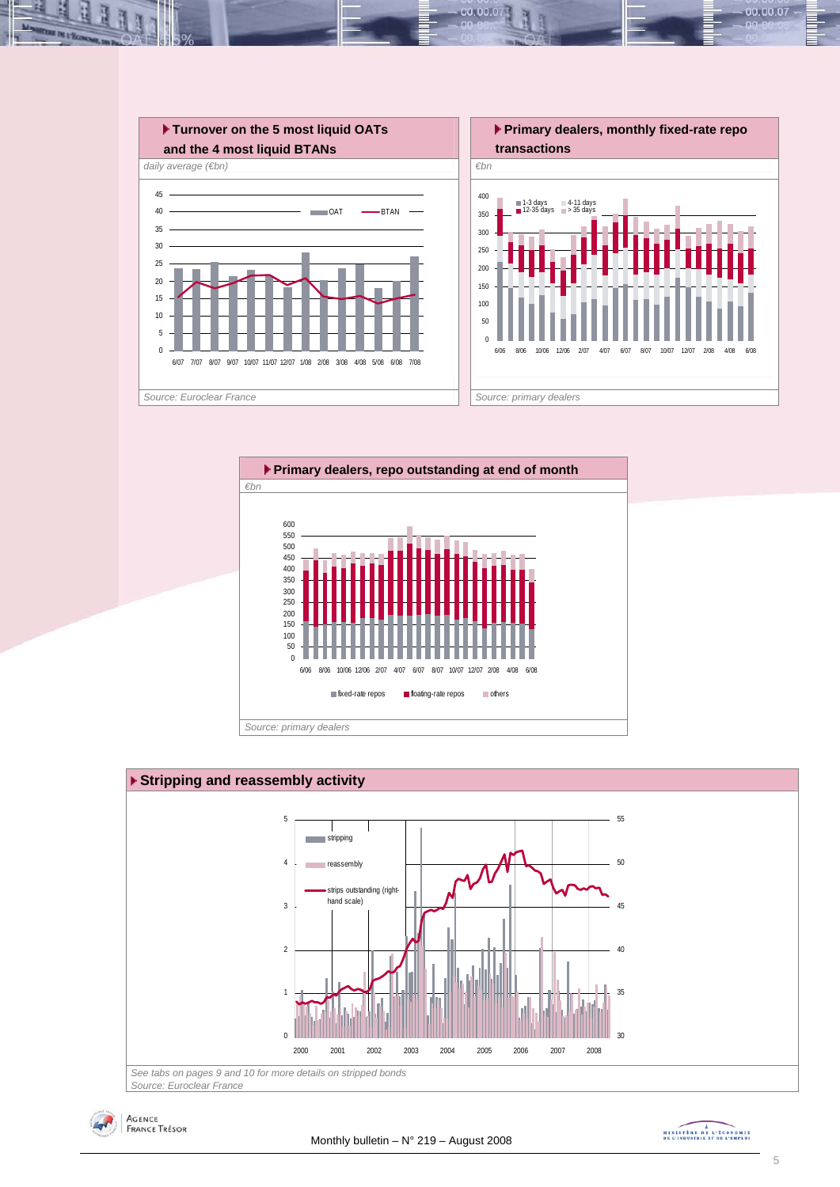

00.00.0







MINISTRE DE L'ÉCONOMIE

00.00.07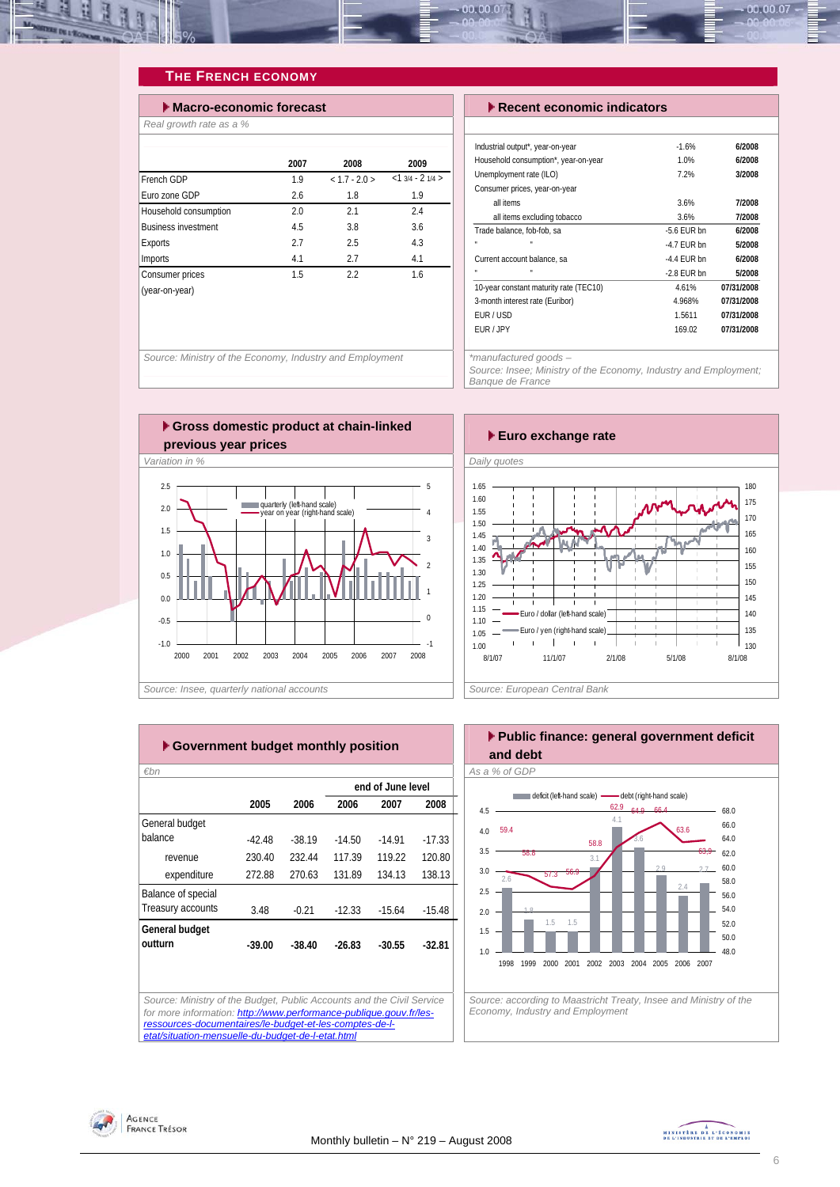<span id="page-5-0"></span>

#### **THE FRENCH ECONOMY**

| $\blacktriangleright$ Macro-economic forecast |      | $\blacktriangleright$ Recent economic indicators |                    |                                                                          |
|-----------------------------------------------|------|--------------------------------------------------|--------------------|--------------------------------------------------------------------------|
| Real growth rate as a %                       |      |                                                  |                    |                                                                          |
|                                               | 2007 | 2008                                             | 2009               | Industrial output*, year-on-year<br>Household consumption*, year-on-year |
| French GDP                                    | 1.9  | $< 1.7 - 2.0$                                    | $<1$ 3/4 - 2 1/4 > | Unemployment rate (ILO)                                                  |
| Furo zone GDP                                 | 2.6  | 1.8                                              | 1.9                | Consumer prices, year-on-year                                            |
| Household consumption                         | 2.0  | 2.1                                              | 2.4                | all items<br>all items excluding tobacco                                 |
| <b>Business investment</b>                    | 4.5  | 3.8                                              | 3.6                | Trade balance, fob-fob, sa                                               |
| <b>Exports</b>                                | 2.7  | 2.5                                              | 4.3                | ×<br>$\mathbf{a}$                                                        |
| Imports                                       | 4.1  | 2.7                                              | 4.1                | Current account balance, sa                                              |
| Consumer prices                               | 1.5  | 2.2                                              | 1.6                |                                                                          |
| (year-on-year)                                |      |                                                  |                    | 10-year constant maturity rate (TEC10)                                   |
|                                               |      |                                                  |                    | 3-month interest rate (Euribor)                                          |
|                                               |      |                                                  |                    | <b>FIID / IISD</b>                                                       |

| $\blacktriangleright$ Recent economic indicators |               |            |  |  |  |  |  |
|--------------------------------------------------|---------------|------------|--|--|--|--|--|
|                                                  |               |            |  |  |  |  |  |
| Industrial output*, year-on-year                 | $-1.6%$       | 6/2008     |  |  |  |  |  |
| Household consumption*, year-on-year             | 1.0%          | 6/2008     |  |  |  |  |  |
| Unemployment rate (ILO)                          | 7.2%          | 3/2008     |  |  |  |  |  |
| Consumer prices, year-on-year                    |               |            |  |  |  |  |  |
| all items                                        | 3.6%          | 7/2008     |  |  |  |  |  |
| all items excluding tobacco                      | 3.6%          | 7/2008     |  |  |  |  |  |
| Trade balance, fob-fob, sa                       | $-5.6$ FUR bn | 6/2008     |  |  |  |  |  |
| $\blacksquare$                                   | $-4.7$ FUR bn | 5/2008     |  |  |  |  |  |
| Current account balance, sa                      | $-4.4$ FUR bn | 6/2008     |  |  |  |  |  |
|                                                  | $-2.8$ FUR bn | 5/2008     |  |  |  |  |  |
| 10-year constant maturity rate (TEC10)           | 4.61%         | 07/31/2008 |  |  |  |  |  |
| 3-month interest rate (Euribor)                  | 4.968%        | 07/31/2008 |  |  |  |  |  |
| FUR/USD                                          | 1.5611        | 07/31/2008 |  |  |  |  |  |
| FUR / JPY                                        | 169.02        | 07/31/2008 |  |  |  |  |  |
|                                                  |               |            |  |  |  |  |  |

00.00.07

*Source: Ministry of the Economy, Industry and Employment* 





*Source: Insee, quarterly national accounts* 



|                    |          |          |          | end of June level |          |
|--------------------|----------|----------|----------|-------------------|----------|
|                    | 2005     | 2006     | 2006     | 2007              | 2008     |
| General budget     |          |          |          |                   |          |
| balance            | $-42.48$ | $-38.19$ | $-14.50$ | $-14.91$          | $-17.33$ |
| revenue            | 230.40   | 232.44   | 117.39   | 119.22            | 120.80   |
| expenditure        | 272.88   | 270.63   | 131.89   | 134.13            | 138.13   |
| Balance of special |          |          |          |                   |          |
| Treasury accounts  | 3.48     | $-0.21$  | $-12.33$ | $-15.64$          | $-15.48$ |
| General budget     |          |          |          |                   |          |
| outturn            | $-39.00$ | $-38.40$ | $-26.83$ | $-30.55$          | $-32.81$ |
|                    |          |          |          |                   |          |
|                    |          |          |          |                   |          |



*Source: according to Maastricht Treaty, Insee and Ministry of the Economy, Industry and Employment* 



Agence<br>France Trésor

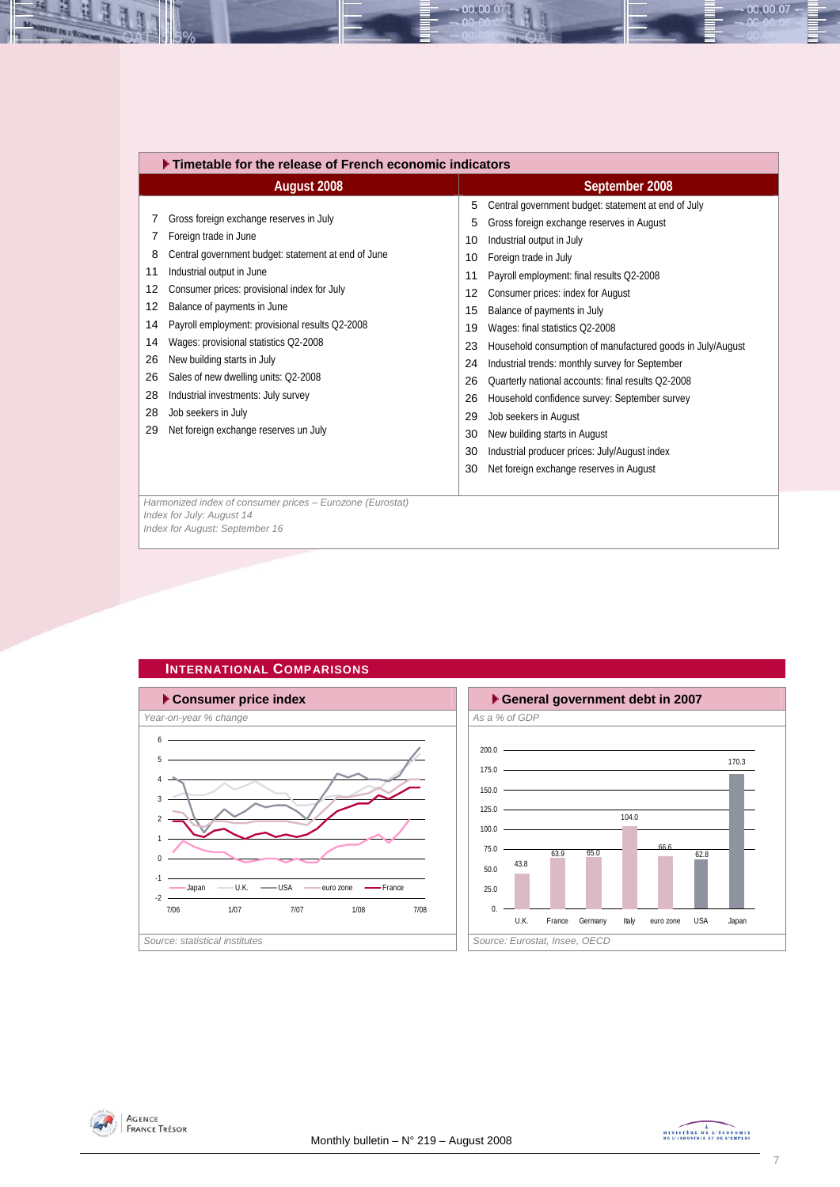<span id="page-6-0"></span>

|                                                                    | Timetable for the release of French economic indicators                                                                                                                                                                                                                                                                                                                                                                                                                                                      |                                                                                            |                                                                                                                                                                                                                                                                                                                                                                                                                                                                                                                                                                                                                                                                                          |  |  |  |  |
|--------------------------------------------------------------------|--------------------------------------------------------------------------------------------------------------------------------------------------------------------------------------------------------------------------------------------------------------------------------------------------------------------------------------------------------------------------------------------------------------------------------------------------------------------------------------------------------------|--------------------------------------------------------------------------------------------|------------------------------------------------------------------------------------------------------------------------------------------------------------------------------------------------------------------------------------------------------------------------------------------------------------------------------------------------------------------------------------------------------------------------------------------------------------------------------------------------------------------------------------------------------------------------------------------------------------------------------------------------------------------------------------------|--|--|--|--|
|                                                                    | August 2008                                                                                                                                                                                                                                                                                                                                                                                                                                                                                                  |                                                                                            | September 2008                                                                                                                                                                                                                                                                                                                                                                                                                                                                                                                                                                                                                                                                           |  |  |  |  |
| 7<br>8<br>11<br>12<br>12<br>14<br>14<br>26<br>26<br>28<br>28<br>29 | Gross foreign exchange reserves in July<br>Foreign trade in June<br>Central government budget: statement at end of June<br>Industrial output in June<br>Consumer prices: provisional index for July<br>Balance of payments in June<br>Payroll employment: provisional results Q2-2008<br>Wages: provisional statistics Q2-2008<br>New building starts in July<br>Sales of new dwelling units: Q2-2008<br>Industrial investments: July survey<br>Job seekers in July<br>Net foreign exchange reserves un July | 5<br>5<br>10<br>10<br>11<br>12<br>15<br>19<br>23<br>24<br>26<br>26<br>29<br>30<br>30<br>30 | Central government budget: statement at end of July<br>Gross foreign exchange reserves in August<br>Industrial output in July<br>Foreign trade in July<br>Payroll employment: final results Q2-2008<br>Consumer prices: index for August<br>Balance of payments in July<br>Wages: final statistics Q2-2008<br>Household consumption of manufactured goods in July/August<br>Industrial trends: monthly survey for September<br>Quarterly national accounts: final results Q2-2008<br>Household confidence survey: September survey<br>Job seekers in August<br>New building starts in August<br>Industrial producer prices: July/August index<br>Net foreign exchange reserves in August |  |  |  |  |
|                                                                    | Harmonized index of consumer prices - Eurozone (Eurostat)<br>Index for July: August 14<br>Index for August: September 16                                                                                                                                                                                                                                                                                                                                                                                     |                                                                                            |                                                                                                                                                                                                                                                                                                                                                                                                                                                                                                                                                                                                                                                                                          |  |  |  |  |
|                                                                    |                                                                                                                                                                                                                                                                                                                                                                                                                                                                                                              |                                                                                            |                                                                                                                                                                                                                                                                                                                                                                                                                                                                                                                                                                                                                                                                                          |  |  |  |  |

00.00.07







 $-00.00.07 -$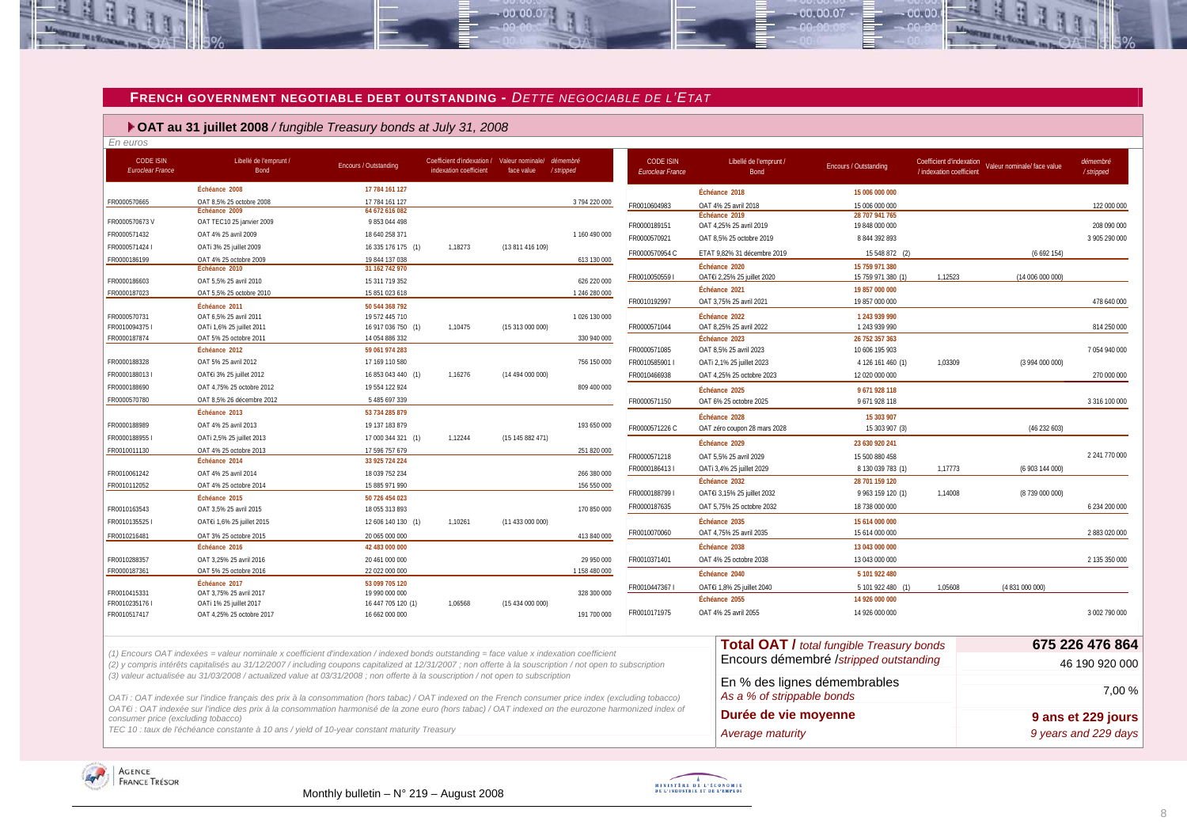#### **FRENCH GOVERNMENT NEGOTIABLE DEBT OUTSTANDING -** *DETTE NEGOCIABLE DE L'ETAT*

 $-00,00,07$ 

#### **OAT au 31 juillet 2008** */ fungible Treasury bonds at July 31, 2008*

| <b>CODE ISIN</b><br><b>Euroclear France</b> | Libellé de l'emprunt /<br>Bond                                                                                                                            | <b>Encours / Outstanding</b>         | Coefficient d'indexation / Valeur nominale/ démembre<br>indexation coefficient | face value       | /stripped     | <b>CODE ISIN</b><br>Euroclear France | Libellé de l'emprunt /<br>Bond | Encours / Outstanding                            | Coefficient d'indexation<br>/ indexation coefficient | Valeur nominale/ face value | démembré<br>/stripped |
|---------------------------------------------|-----------------------------------------------------------------------------------------------------------------------------------------------------------|--------------------------------------|--------------------------------------------------------------------------------|------------------|---------------|--------------------------------------|--------------------------------|--------------------------------------------------|------------------------------------------------------|-----------------------------|-----------------------|
|                                             | Échéance 2008                                                                                                                                             | 17 784 161 127                       |                                                                                |                  |               |                                      | Échéance 2018                  | 15 006 000 000                                   |                                                      |                             |                       |
| FR0000570665                                | OAT 8.5% 25 octobre 2008                                                                                                                                  | 17 784 161 127                       |                                                                                |                  | 3 794 220 000 | FR0010604983                         | OAT 4% 25 avril 2018           | 15 006 000 000                                   |                                                      |                             | 122 000 000           |
|                                             | Échéance 2009                                                                                                                                             | 64 672 616 082                       |                                                                                |                  |               |                                      | Échéance 2019                  | 28 707 941 765                                   |                                                      |                             |                       |
| FR0000570673V                               | OAT TEC10 25 janvier 2009                                                                                                                                 | 9 853 044 498                        |                                                                                |                  |               | FR0000189151                         | OAT 4,25% 25 avril 2019        | 19 848 000 000                                   |                                                      |                             | 208 090 000           |
| FR0000571432                                | OAT 4% 25 avril 2009                                                                                                                                      | 18 640 258 371                       |                                                                                |                  | 1160 490 000  | FR0000570921                         | OAT 8,5% 25 octobre 2019       | 8 844 392 893                                    |                                                      |                             | 3 905 290 000         |
| FR0000571424 I                              | OATi 3% 25 juillet 2009                                                                                                                                   | 16 335 176 175 (1)                   | 1,18273                                                                        | (13 811 416 109) |               | FR0000570954 C                       | ETAT 9,82% 31 décembre 2019    | 15 548 872 (2)                                   |                                                      | (6692154)                   |                       |
| FR0000186199                                | OAT 4% 25 octobre 2009<br>Échéance 2010                                                                                                                   | 19 844 137 038<br>31 162 742 970     |                                                                                |                  | 613 130 000   |                                      | Échéance 2020                  | 15 759 971 380                                   |                                                      |                             |                       |
| FR0000186603                                |                                                                                                                                                           |                                      |                                                                                |                  | 626 220 000   | FR00100505591                        | OAT€i 2,25% 25 juillet 2020    | 15 759 971 380 (1)                               | 1.12523                                              | (14 006 000 000)            |                       |
| FR0000187023                                | OAT 5,5% 25 avril 2010<br>OAT 5,5% 25 octobre 2010                                                                                                        | 15 311 719 352<br>15 851 023 618     |                                                                                |                  | 1 246 280 000 |                                      | Échéance 2021                  | 19 857 000 000                                   |                                                      |                             |                       |
|                                             |                                                                                                                                                           |                                      |                                                                                |                  |               | FR0010192997                         | OAT 3,75% 25 avril 2021        | 19 857 000 000                                   |                                                      |                             | 478 640 000           |
| FR0000570731                                | Échéance 2011<br>OAT 6.5% 25 avril 2011                                                                                                                   | 50 544 368 792<br>19 572 445 710     |                                                                                |                  | 1026 130 000  |                                      | Échéance 2022                  | 1 243 939 990                                    |                                                      |                             |                       |
| FR0010094375 I                              | OATi 1,6% 25 juillet 2011                                                                                                                                 | 16 917 036 750 (1)                   | 1,10475                                                                        | (15313000000)    |               | FR0000571044                         | OAT 8,25% 25 avril 2022        | 1 243 939 990                                    |                                                      |                             | 814 250 000           |
| FR0000187874                                | OAT 5% 25 octobre 2011                                                                                                                                    | 14 054 886 332                       |                                                                                |                  | 330 940 000   |                                      | Échéance 2023                  | 26 752 357 363                                   |                                                      |                             |                       |
|                                             | Échéance 2012                                                                                                                                             | 59 061 974 283                       |                                                                                |                  |               | FR0000571085                         | OAT 8.5% 25 avril 2023         | 10 606 195 903                                   |                                                      |                             | 7054940000            |
| FR0000188328                                | OAT 5% 25 avril 2012                                                                                                                                      | 17 169 110 580                       |                                                                                |                  | 756 150 000   | FR0010585901                         | OATi 2,1% 25 juillet 2023      | 4 126 161 460 (1)                                | 1,03309                                              | (3 994 000 000)             |                       |
| FR0000188013 I                              | OAT€i 3% 25 juillet 2012                                                                                                                                  | 16 853 043 440 (1)                   | 1,16276                                                                        | (14 494 000 000) |               | FR0010466938                         | OAT 4,25% 25 octobre 2023      | 12 020 000 000                                   |                                                      |                             | 270 000 000           |
| FR0000188690                                | OAT 4,75% 25 octobre 2012                                                                                                                                 | 19 554 122 924                       |                                                                                |                  | 809 400 000   |                                      | Échéance 2025                  | 9671928118                                       |                                                      |                             |                       |
| FR0000570780                                | OAT 8,5% 26 décembre 2012                                                                                                                                 | 5 485 697 339                        |                                                                                |                  |               | FR0000571150                         | OAT 6% 25 octobre 2025         | 9 671 928 118                                    |                                                      |                             | 3 316 100 000         |
|                                             | Échéance 2013                                                                                                                                             | 53 734 285 879                       |                                                                                |                  |               |                                      |                                |                                                  |                                                      |                             |                       |
| FR0000188989                                | OAT 4% 25 avril 2013                                                                                                                                      | 19 137 183 879                       |                                                                                |                  | 193 650 000   |                                      | Échéance 2028                  | 15 303 907                                       |                                                      |                             |                       |
| FR00001889551                               | OATi 2,5% 25 juillet 2013                                                                                                                                 |                                      | 1,12244                                                                        | (15145882471)    |               | FR0000571226 C                       | OAT zéro coupon 28 mars 2028   | 15 303 907 (3)                                   |                                                      | (46232603)                  |                       |
| FR0010011130                                | OAT 4% 25 octobre 2013                                                                                                                                    | 17 000 344 321 (1)<br>17 596 757 679 |                                                                                |                  | 251 820 000   |                                      | Échéance 2029                  | 23 630 920 241                                   |                                                      |                             |                       |
|                                             | Échéance 2014                                                                                                                                             | 33 925 724 224                       |                                                                                |                  |               | FR0000571218                         | OAT 5,5% 25 avril 2029         | 15 500 880 458                                   |                                                      |                             | 2 241 770 000         |
| FR0010061242                                | OAT 4% 25 avril 2014                                                                                                                                      | 18 039 752 234                       |                                                                                |                  | 266 380 000   | FR0000186413                         | OATi 3,4% 25 juillet 2029      | 8 130 039 783 (1)                                | 1,17773                                              | (6 903 144 000)             |                       |
| FR0010112052                                | OAT 4% 25 octobre 2014                                                                                                                                    | 15 885 971 990                       |                                                                                |                  | 156 550 000   |                                      | Échéance 2032                  | 28 701 159 120                                   |                                                      |                             |                       |
|                                             | Échéance 2015                                                                                                                                             | 50 726 454 023                       |                                                                                |                  |               | FR00001887991                        | OATEi 3,15% 25 juillet 2032    | 9 963 159 120 (1)                                | 1,14008                                              | (8739 000 000)              |                       |
| FR0010163543                                | OAT 3,5% 25 avril 2015                                                                                                                                    | 18 055 313 893                       |                                                                                |                  | 170 850 000   | FR0000187635                         | OAT 5.75% 25 octobre 2032      | 18 738 000 000                                   |                                                      |                             | 6 234 200 000         |
| FR00101355251                               | OAT€i 1,6% 25 juillet 2015                                                                                                                                | 12 606 140 130 (1)                   | 1,10261                                                                        | (11 433 000 000) |               |                                      | Échéance 2035                  | 15 614 000 000                                   |                                                      |                             |                       |
|                                             |                                                                                                                                                           |                                      |                                                                                |                  |               | FR0010070060                         | OAT 4,75% 25 avril 2035        | 15 614 000 000                                   |                                                      |                             | 2 883 020 000         |
| FR0010216481                                | OAT 3% 25 octobre 2015<br>Échéance 2016                                                                                                                   | 20 065 000 000<br>42 483 000 000     |                                                                                |                  | 413 840 000   |                                      | Échéance 2038                  | 13 043 000 000                                   |                                                      |                             |                       |
| FR0010288357                                | OAT 3.25% 25 avril 2016                                                                                                                                   | 20 461 000 000                       |                                                                                |                  | 29 950 000    | FR0010371401                         | OAT 4% 25 octobre 2038         | 13 043 000 000                                   |                                                      |                             |                       |
| FR0000187361                                | OAT 5% 25 octobre 2016                                                                                                                                    | 22 022 000 000                       |                                                                                |                  | 1 158 480 000 |                                      |                                |                                                  |                                                      |                             | 2 135 350 000         |
|                                             | Échéance 2017                                                                                                                                             | 53 099 705 120                       |                                                                                |                  |               |                                      | Échéance 2040                  | 5 101 922 480                                    |                                                      |                             |                       |
| FR0010415331                                | OAT 3,75% 25 avril 2017                                                                                                                                   | 19 990 000 000                       |                                                                                |                  | 328 300 000   | FR00104473671                        | OATEi 1,8% 25 juillet 2040     | 5 101 922 480 (1)                                | 1,05608                                              | (4 831 000 000)             |                       |
| FR0010235176 I                              | OATi 1% 25 juillet 2017                                                                                                                                   | 16 447 705 120 (1)                   | 1.06568                                                                        | (15 434 000 000) |               |                                      | Échéance 2055                  | 14 926 000 000                                   |                                                      |                             |                       |
| FR0010517417                                | OAT 4.25% 25 octobre 2017                                                                                                                                 | 16 662 000 000                       |                                                                                |                  | 191 700 000   | FR0010171975                         | OAT 4% 25 avril 2055           | 14 926 000 000                                   |                                                      |                             | 3 002 790 000         |
|                                             |                                                                                                                                                           |                                      |                                                                                |                  |               |                                      |                                |                                                  |                                                      |                             | 675 226 476 864       |
|                                             | (1) Encours OAT indexées = valeur nominale x coefficient d'indexation / indexed bonds outstanding = face value x indexation coefficient                   |                                      |                                                                                |                  |               |                                      |                                | <b>Total OAT / total fungible Treasury bonds</b> |                                                      |                             |                       |
|                                             | (2) y compris intérêts capitalisés au 31/12/2007 / including coupons capitalized at 12/31/2007 ; non offerte à la souscription / not open to subscription |                                      |                                                                                |                  |               |                                      |                                | Encours démembré /stripped outstanding           |                                                      |                             | 46 190 920 000        |
|                                             | (3) valeur actualisée au 31/03/2008 / actualized value at 03/31/2008 ; non offerte à la souscription / not open to subscription                           |                                      |                                                                                |                  |               |                                      |                                | En % des lignes démembrables                     |                                                      |                             |                       |
|                                             | OATi: OAT indexée sur l'indice français des prix à la consommation (hors tabac) / OAT indexed on the French consumer price index (excluding tobacco)      |                                      |                                                                                |                  |               |                                      | As a % of strippable bonds     |                                                  |                                                      |                             | 7,00 %                |
|                                             | OAT€i : OAT indexée sur l'indice des prix à la consommation harmonisé de la zone euro (hors tabac) / OAT indexed on the eurozone harmonized index of      |                                      |                                                                                |                  |               |                                      |                                |                                                  |                                                      |                             |                       |
| consumer price (excluding tobacco)          |                                                                                                                                                           |                                      |                                                                                |                  |               |                                      | Durée de vie moyenne           |                                                  |                                                      |                             | 9 ans et 229 jours    |
|                                             | TEC 10 : taux de l'échéance constante à 10 ans / yield of 10-year constant maturity Treasury                                                              |                                      |                                                                                |                  |               |                                      | Average maturity               |                                                  |                                                      |                             | 9 years and 229 days  |

<span id="page-7-0"></span>



 $00007$ 

an no